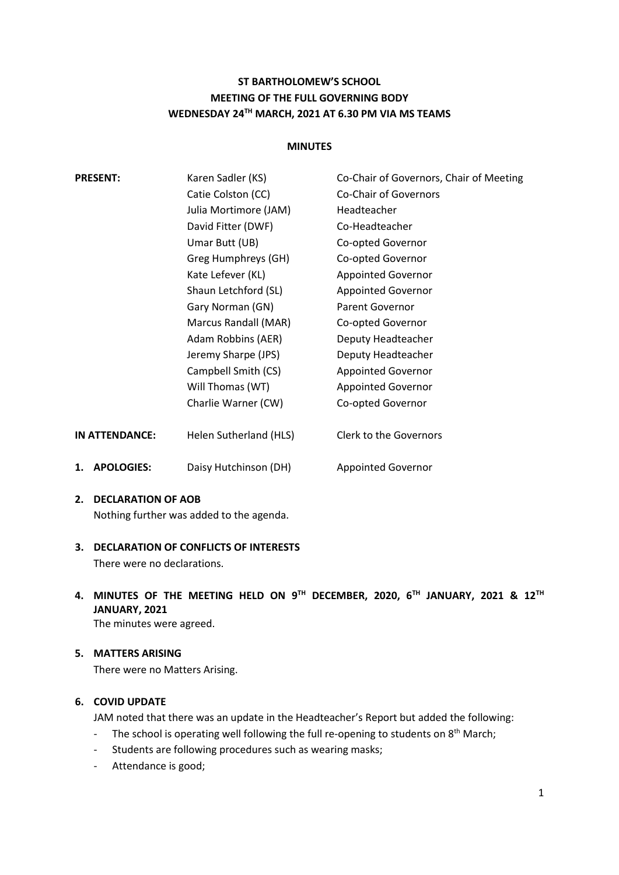# **ST BARTHOLOMEW'S SCHOOL MEETING OF THE FULL GOVERNING BODY WEDNESDAY 24TH MARCH, 2021 AT 6.30 PM VIA MS TEAMS**

#### **MINUTES**

| <b>PRESENT:</b>         | Karen Sadler (KS)      | Co-Chair of Governors, Chair of Meeting |
|-------------------------|------------------------|-----------------------------------------|
|                         | Catie Colston (CC)     | <b>Co-Chair of Governors</b>            |
|                         | Julia Mortimore (JAM)  | Headteacher                             |
|                         | David Fitter (DWF)     | Co-Headteacher                          |
|                         | Umar Butt (UB)         | Co-opted Governor                       |
|                         | Greg Humphreys (GH)    | Co-opted Governor                       |
|                         | Kate Lefever (KL)      | <b>Appointed Governor</b>               |
|                         | Shaun Letchford (SL)   | <b>Appointed Governor</b>               |
|                         | Gary Norman (GN)       | <b>Parent Governor</b>                  |
|                         | Marcus Randall (MAR)   | Co-opted Governor                       |
|                         | Adam Robbins (AER)     | Deputy Headteacher                      |
|                         | Jeremy Sharpe (JPS)    | Deputy Headteacher                      |
|                         | Campbell Smith (CS)    | <b>Appointed Governor</b>               |
|                         | Will Thomas (WT)       | <b>Appointed Governor</b>               |
|                         | Charlie Warner (CW)    | Co-opted Governor                       |
| IN ATTENDANCE:          | Helen Sutherland (HLS) | <b>Clerk to the Governors</b>           |
| <b>APOLOGIES:</b><br>1. | Daisy Hutchinson (DH)  | <b>Appointed Governor</b>               |

#### **2. DECLARATION OF AOB**

Nothing further was added to the agenda.

**3. DECLARATION OF CONFLICTS OF INTERESTS** There were no declarations.

# **4. MINUTES OF THE MEETING HELD ON 9 TH DECEMBER, 2020, 6TH JANUARY, 2021 & 12TH JANUARY, 2021**

The minutes were agreed.

#### **5. MATTERS ARISING**

There were no Matters Arising.

### **6. COVID UPDATE**

JAM noted that there was an update in the Headteacher's Report but added the following:

- The school is operating well following the full re-opening to students on 8<sup>th</sup> March;
- Students are following procedures such as wearing masks;
- Attendance is good;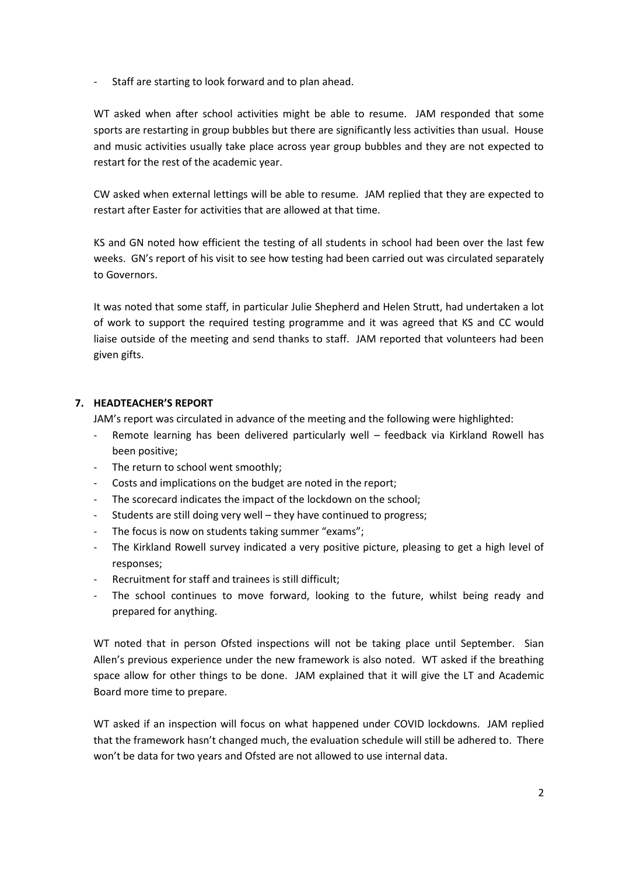Staff are starting to look forward and to plan ahead.

WT asked when after school activities might be able to resume. JAM responded that some sports are restarting in group bubbles but there are significantly less activities than usual. House and music activities usually take place across year group bubbles and they are not expected to restart for the rest of the academic year.

CW asked when external lettings will be able to resume. JAM replied that they are expected to restart after Easter for activities that are allowed at that time.

KS and GN noted how efficient the testing of all students in school had been over the last few weeks. GN's report of his visit to see how testing had been carried out was circulated separately to Governors.

It was noted that some staff, in particular Julie Shepherd and Helen Strutt, had undertaken a lot of work to support the required testing programme and it was agreed that KS and CC would liaise outside of the meeting and send thanks to staff. JAM reported that volunteers had been given gifts.

### **7. HEADTEACHER'S REPORT**

JAM's report was circulated in advance of the meeting and the following were highlighted:

- Remote learning has been delivered particularly well feedback via Kirkland Rowell has been positive;
- The return to school went smoothly;
- Costs and implications on the budget are noted in the report;
- The scorecard indicates the impact of the lockdown on the school;
- Students are still doing very well they have continued to progress;
- The focus is now on students taking summer "exams";
- The Kirkland Rowell survey indicated a very positive picture, pleasing to get a high level of responses;
- Recruitment for staff and trainees is still difficult;
- The school continues to move forward, looking to the future, whilst being ready and prepared for anything.

WT noted that in person Ofsted inspections will not be taking place until September. Sian Allen's previous experience under the new framework is also noted. WT asked if the breathing space allow for other things to be done. JAM explained that it will give the LT and Academic Board more time to prepare.

WT asked if an inspection will focus on what happened under COVID lockdowns. JAM replied that the framework hasn't changed much, the evaluation schedule will still be adhered to. There won't be data for two years and Ofsted are not allowed to use internal data.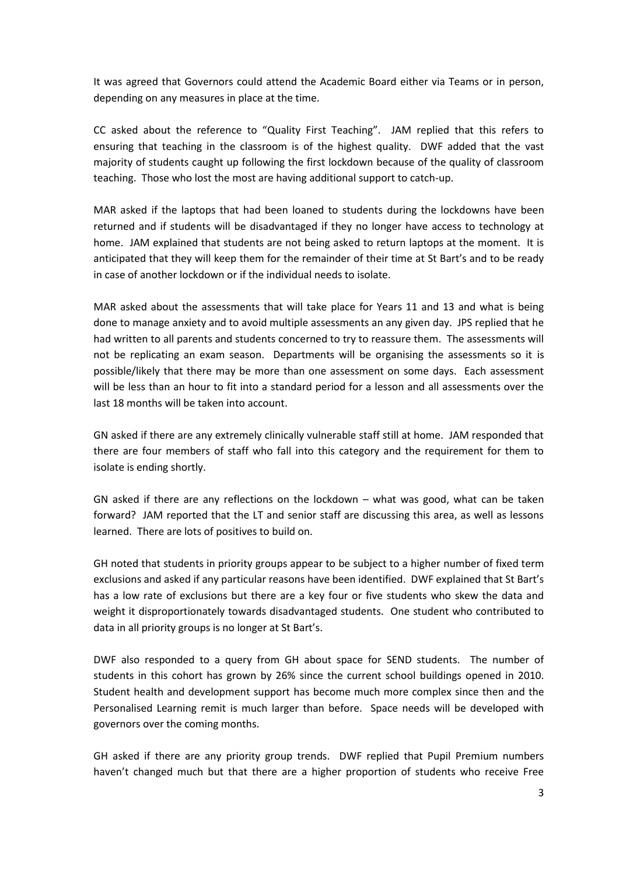It was agreed that Governors could attend the Academic Board either via Teams or in person, depending on any measures in place at the time.

CC asked about the reference to "Quality First Teaching". JAM replied that this refers to ensuring that teaching in the classroom is of the highest quality. DWF added that the vast majority of students caught up following the first lockdown because of the quality of classroom teaching. Those who lost the most are having additional support to catch-up.

MAR asked if the laptops that had been loaned to students during the lockdowns have been returned and if students will be disadvantaged if they no longer have access to technology at home. JAM explained that students are not being asked to return laptops at the moment. It is anticipated that they will keep them for the remainder of their time at St Bart's and to be ready in case of another lockdown or if the individual needs to isolate.

MAR asked about the assessments that will take place for Years 11 and 13 and what is being done to manage anxiety and to avoid multiple assessments an any given day. JPS replied that he had written to all parents and students concerned to try to reassure them. The assessments will not be replicating an exam season. Departments will be organising the assessments so it is possible/likely that there may be more than one assessment on some days. Each assessment will be less than an hour to fit into a standard period for a lesson and all assessments over the last 18 months will be taken into account.

GN asked if there are any extremely clinically vulnerable staff still at home. JAM responded that there are four members of staff who fall into this category and the requirement for them to isolate is ending shortly.

GN asked if there are any reflections on the lockdown – what was good, what can be taken forward? JAM reported that the LT and senior staff are discussing this area, as well as lessons learned. There are lots of positives to build on.

GH noted that students in priority groups appear to be subject to a higher number of fixed term exclusions and asked if any particular reasons have been identified. DWF explained that St Bart's has a low rate of exclusions but there are a key four or five students who skew the data and weight it disproportionately towards disadvantaged students. One student who contributed to data in all priority groups is no longer at St Bart's.

DWF also responded to a query from GH about space for SEND students. The number of students in this cohort has grown by 26% since the current school buildings opened in 2010. Student health and development support has become much more complex since then and the Personalised Learning remit is much larger than before. Space needs will be developed with governors over the coming months.

GH asked if there are any priority group trends. DWF replied that Pupil Premium numbers haven't changed much but that there are a higher proportion of students who receive Free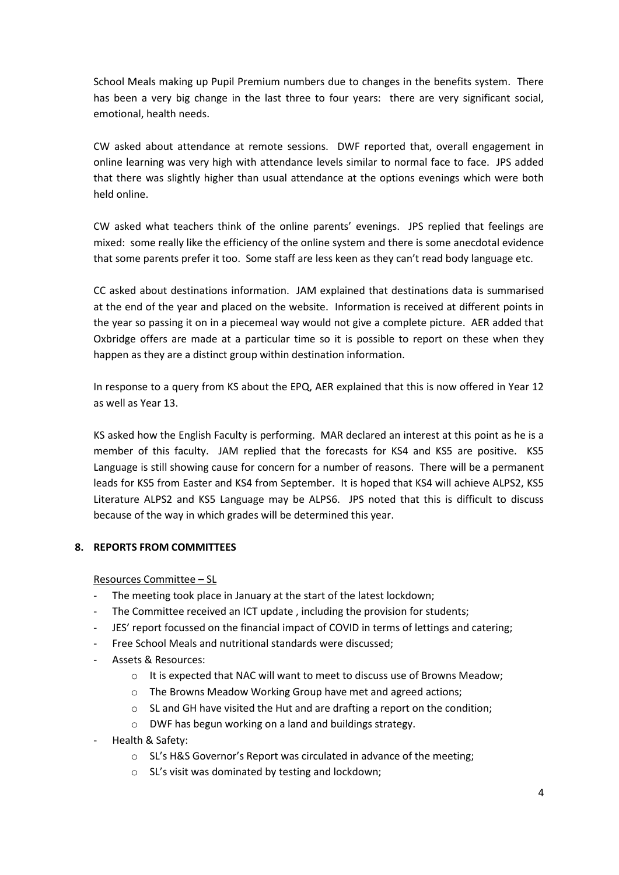School Meals making up Pupil Premium numbers due to changes in the benefits system. There has been a very big change in the last three to four years: there are very significant social, emotional, health needs.

CW asked about attendance at remote sessions. DWF reported that, overall engagement in online learning was very high with attendance levels similar to normal face to face. JPS added that there was slightly higher than usual attendance at the options evenings which were both held online.

CW asked what teachers think of the online parents' evenings. JPS replied that feelings are mixed: some really like the efficiency of the online system and there is some anecdotal evidence that some parents prefer it too. Some staff are less keen as they can't read body language etc.

CC asked about destinations information. JAM explained that destinations data is summarised at the end of the year and placed on the website. Information is received at different points in the year so passing it on in a piecemeal way would not give a complete picture. AER added that Oxbridge offers are made at a particular time so it is possible to report on these when they happen as they are a distinct group within destination information.

In response to a query from KS about the EPQ, AER explained that this is now offered in Year 12 as well as Year 13.

KS asked how the English Faculty is performing. MAR declared an interest at this point as he is a member of this faculty. JAM replied that the forecasts for KS4 and KS5 are positive. KS5 Language is still showing cause for concern for a number of reasons. There will be a permanent leads for KS5 from Easter and KS4 from September. It is hoped that KS4 will achieve ALPS2, KS5 Literature ALPS2 and KS5 Language may be ALPS6. JPS noted that this is difficult to discuss because of the way in which grades will be determined this year.

### **8. REPORTS FROM COMMITTEES**

Resources Committee – SL

- The meeting took place in January at the start of the latest lockdown;
- The Committee received an ICT update, including the provision for students;
- JES' report focussed on the financial impact of COVID in terms of lettings and catering;
- Free School Meals and nutritional standards were discussed;
- Assets & Resources:
	- o It is expected that NAC will want to meet to discuss use of Browns Meadow;
	- o The Browns Meadow Working Group have met and agreed actions;
	- $\circ$  SL and GH have visited the Hut and are drafting a report on the condition;
	- o DWF has begun working on a land and buildings strategy.
- Health & Safety:
	- o SL's H&S Governor's Report was circulated in advance of the meeting;
	- o SL's visit was dominated by testing and lockdown;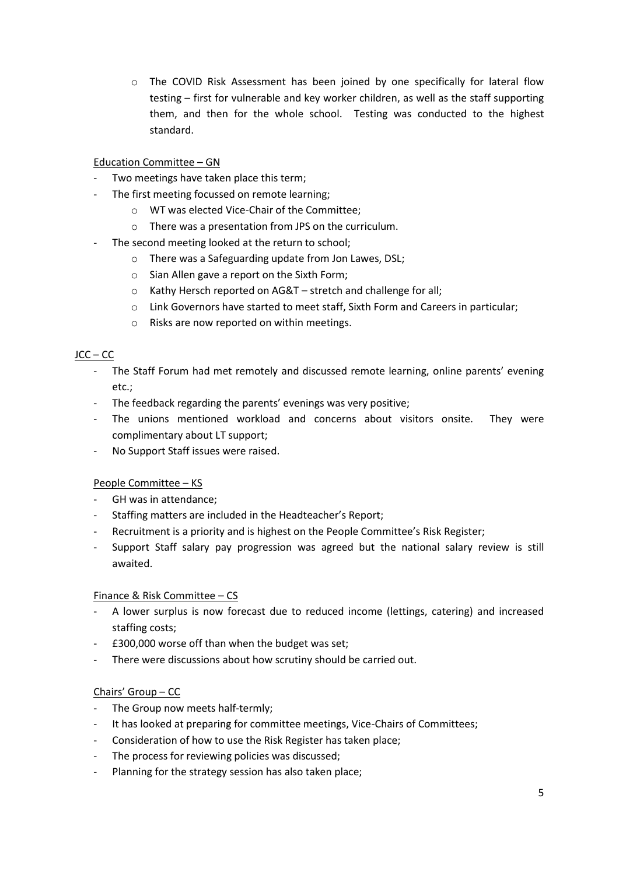o The COVID Risk Assessment has been joined by one specifically for lateral flow testing – first for vulnerable and key worker children, as well as the staff supporting them, and then for the whole school. Testing was conducted to the highest standard.

## Education Committee – GN

- Two meetings have taken place this term;
- The first meeting focussed on remote learning;
	- o WT was elected Vice-Chair of the Committee;
	- o There was a presentation from JPS on the curriculum.
- The second meeting looked at the return to school;
	- o There was a Safeguarding update from Jon Lawes, DSL;
	- o Sian Allen gave a report on the Sixth Form;
	- o Kathy Hersch reported on AG&T stretch and challenge for all;
	- o Link Governors have started to meet staff, Sixth Form and Careers in particular;
	- o Risks are now reported on within meetings.

# JCC – CC

- The Staff Forum had met remotely and discussed remote learning, online parents' evening etc.;
- The feedback regarding the parents' evenings was very positive;
- The unions mentioned workload and concerns about visitors onsite. They were complimentary about LT support;
- No Support Staff issues were raised.

### People Committee – KS

- GH was in attendance;
- Staffing matters are included in the Headteacher's Report;
- Recruitment is a priority and is highest on the People Committee's Risk Register;
- Support Staff salary pay progression was agreed but the national salary review is still awaited.

### Finance & Risk Committee – CS

- A lower surplus is now forecast due to reduced income (lettings, catering) and increased staffing costs;
- £300,000 worse off than when the budget was set;
- There were discussions about how scrutiny should be carried out.

### Chairs' Group – CC

- The Group now meets half-termly;
- It has looked at preparing for committee meetings, Vice-Chairs of Committees;
- Consideration of how to use the Risk Register has taken place;
- The process for reviewing policies was discussed;
- Planning for the strategy session has also taken place;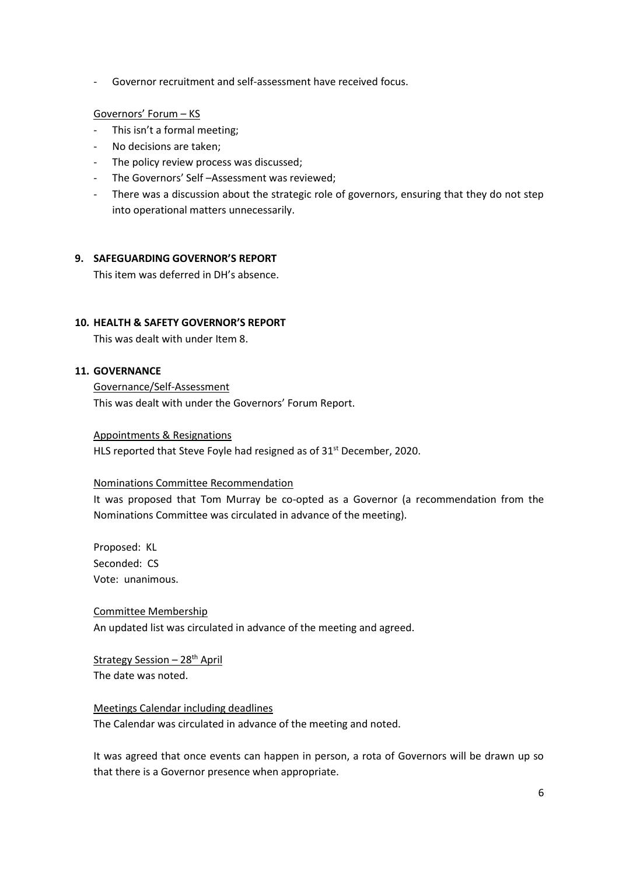- Governor recruitment and self-assessment have received focus.

#### Governors' Forum – KS

- This isn't a formal meeting;
- No decisions are taken;
- The policy review process was discussed;
- The Governors' Self –Assessment was reviewed;
- There was a discussion about the strategic role of governors, ensuring that they do not step into operational matters unnecessarily.

#### **9. SAFEGUARDING GOVERNOR'S REPORT**

This item was deferred in DH's absence.

#### **10. HEALTH & SAFETY GOVERNOR'S REPORT**

This was dealt with under Item 8.

### **11. GOVERNANCE**

Governance/Self-Assessment This was dealt with under the Governors' Forum Report.

#### Appointments & Resignations

HLS reported that Steve Foyle had resigned as of 31<sup>st</sup> December, 2020.

#### Nominations Committee Recommendation

It was proposed that Tom Murray be co-opted as a Governor (a recommendation from the Nominations Committee was circulated in advance of the meeting).

Proposed: KL Seconded: CS Vote: unanimous.

Committee Membership An updated list was circulated in advance of the meeting and agreed.

#### Strategy Session - 28<sup>th</sup> April The date was noted.

Meetings Calendar including deadlines

The Calendar was circulated in advance of the meeting and noted.

It was agreed that once events can happen in person, a rota of Governors will be drawn up so that there is a Governor presence when appropriate.